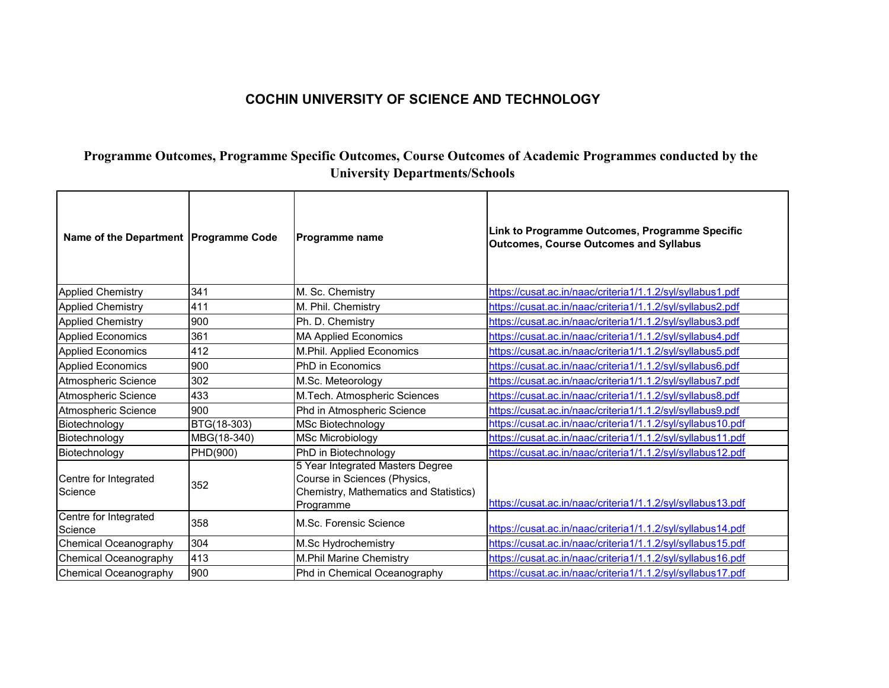## **COCHIN UNIVERSITY OF SCIENCE AND TECHNOLOGY**

## **Programme Outcomes, Programme Specific Outcomes, Course Outcomes of Academic Programmes conducted by the University Departments/Schools**

| Name of the Department   Programme Code |             | <b>Programme name</b>                                                                                                   | Link to Programme Outcomes, Programme Specific<br><b>Outcomes, Course Outcomes and Syllabus</b> |
|-----------------------------------------|-------------|-------------------------------------------------------------------------------------------------------------------------|-------------------------------------------------------------------------------------------------|
| <b>Applied Chemistry</b>                | 341         | M. Sc. Chemistry                                                                                                        | https://cusat.ac.in/naac/criteria1/1.1.2/syl/syllabus1.pdf                                      |
| <b>Applied Chemistry</b>                | 411         | M. Phil. Chemistry                                                                                                      | https://cusat.ac.in/naac/criteria1/1.1.2/syl/syllabus2.pdf                                      |
| <b>Applied Chemistry</b>                | 900         | Ph. D. Chemistry                                                                                                        | https://cusat.ac.in/naac/criteria1/1.1.2/syl/syllabus3.pdf                                      |
| <b>Applied Economics</b>                | 361         | <b>MA Applied Economics</b>                                                                                             | https://cusat.ac.in/naac/criteria1/1.1.2/syl/syllabus4.pdf                                      |
| Applied Economics                       | 412         | M.Phil. Applied Economics                                                                                               | https://cusat.ac.in/naac/criteria1/1.1.2/syl/syllabus5.pdf                                      |
| Applied Economics                       | 900         | <b>PhD</b> in Economics                                                                                                 | https://cusat.ac.in/naac/criteria1/1.1.2/syl/syllabus6.pdf                                      |
| Atmospheric Science                     | 302         | M.Sc. Meteorology                                                                                                       | https://cusat.ac.in/naac/criteria1/1.1.2/syl/syllabus7.pdf                                      |
| Atmospheric Science                     | 433         | M.Tech. Atmospheric Sciences                                                                                            | https://cusat.ac.in/naac/criteria1/1.1.2/syl/syllabus8.pdf                                      |
| Atmospheric Science                     | 900         | Phd in Atmospheric Science                                                                                              | https://cusat.ac.in/naac/criteria1/1.1.2/syl/syllabus9.pdf                                      |
| Biotechnology                           | BTG(18-303) | <b>MSc Biotechnology</b>                                                                                                | https://cusat.ac.in/naac/criteria1/1.1.2/syl/syllabus10.pdf                                     |
| Biotechnology                           | MBG(18-340) | <b>MSc Microbiology</b>                                                                                                 | https://cusat.ac.in/naac/criteria1/1.1.2/syl/syllabus11.pdf                                     |
| Biotechnology                           | PHD(900)    | PhD in Biotechnology                                                                                                    | https://cusat.ac.in/naac/criteria1/1.1.2/syl/syllabus12.pdf                                     |
| Centre for Integrated<br>Science        | 352         | 5 Year Integrated Masters Degree<br>Course in Sciences (Physics,<br>Chemistry, Mathematics and Statistics)<br>Programme | https://cusat.ac.in/naac/criteria1/1.1.2/syl/syllabus13.pdf                                     |
| Centre for Integrated<br>Science        | 358         | M.Sc. Forensic Science                                                                                                  | https://cusat.ac.in/naac/criteria1/1.1.2/syl/syllabus14.pdf                                     |
| Chemical Oceanography                   | 304         | M.Sc Hydrochemistry                                                                                                     | https://cusat.ac.in/naac/criteria1/1.1.2/syl/syllabus15.pdf                                     |
| <b>Chemical Oceanography</b>            | 413         | <b>M.Phil Marine Chemistry</b>                                                                                          | https://cusat.ac.in/naac/criteria1/1.1.2/syl/syllabus16.pdf                                     |
| <b>Chemical Oceanography</b>            | 900         | Phd in Chemical Oceanography                                                                                            | https://cusat.ac.in/naac/criteria1/1.1.2/syl/syllabus17.pdf                                     |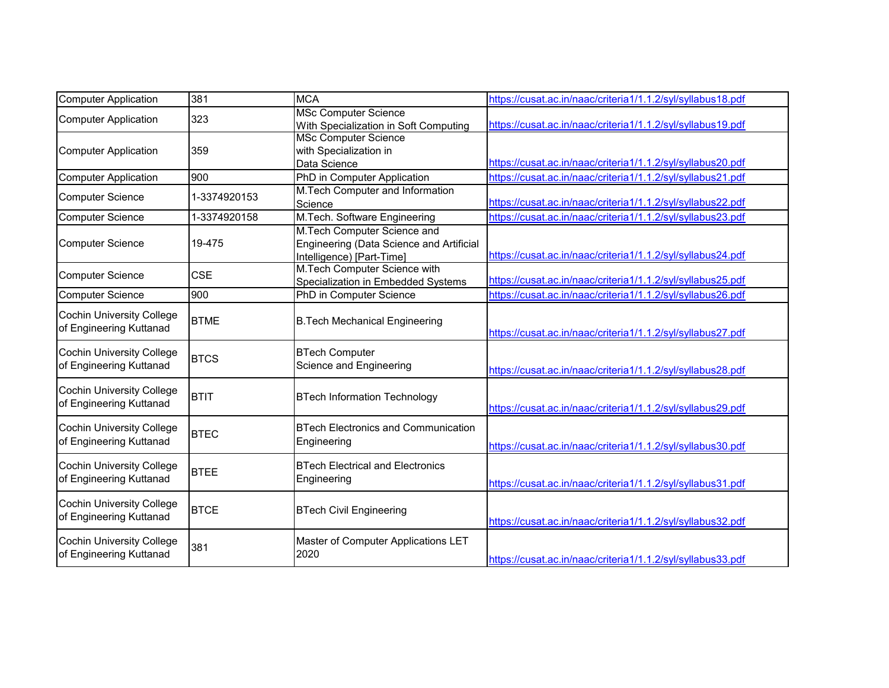| Computer Application                                        | 381          | <b>MCA</b>                                                                                           | https://cusat.ac.in/naac/criteria1/1.1.2/syl/syllabus18.pdf |
|-------------------------------------------------------------|--------------|------------------------------------------------------------------------------------------------------|-------------------------------------------------------------|
| <b>Computer Application</b>                                 | 323          | <b>MSc Computer Science</b><br>With Specialization in Soft Computing                                 | https://cusat.ac.in/naac/criteria1/1.1.2/syl/syllabus19.pdf |
| <b>Computer Application</b>                                 | 359          | <b>MSc Computer Science</b><br>with Specialization in<br>Data Science                                | https://cusat.ac.in/naac/criteria1/1.1.2/syl/syllabus20.pdf |
| <b>Computer Application</b>                                 | 900          | PhD in Computer Application                                                                          | https://cusat.ac.in/naac/criteria1/1.1.2/syl/syllabus21.pdf |
| <b>Computer Science</b>                                     | 1-3374920153 | M.Tech Computer and Information<br>Science                                                           | https://cusat.ac.in/naac/criteria1/1.1.2/syl/syllabus22.pdf |
| Computer Science                                            | 1-3374920158 | M.Tech. Software Engineering                                                                         | https://cusat.ac.in/naac/criteria1/1.1.2/syl/syllabus23.pdf |
| <b>Computer Science</b>                                     | 19-475       | M.Tech Computer Science and<br>Engineering (Data Science and Artificial<br>Intelligence) [Part-Time] | https://cusat.ac.in/naac/criteria1/1.1.2/syl/syllabus24.pdf |
| <b>Computer Science</b>                                     | <b>CSE</b>   | M.Tech Computer Science with<br>Specialization in Embedded Systems                                   | https://cusat.ac.in/naac/criteria1/1.1.2/syl/syllabus25.pdf |
| <b>Computer Science</b>                                     | 900          | PhD in Computer Science                                                                              | https://cusat.ac.in/naac/criteria1/1.1.2/syl/syllabus26.pdf |
| <b>Cochin University College</b><br>of Engineering Kuttanad | <b>BTME</b>  | <b>B.Tech Mechanical Engineering</b>                                                                 | https://cusat.ac.in/naac/criteria1/1.1.2/syl/syllabus27.pdf |
| <b>Cochin University College</b><br>of Engineering Kuttanad | <b>BTCS</b>  | <b>BTech Computer</b><br>Science and Engineering                                                     | https://cusat.ac.in/naac/criteria1/1.1.2/syl/syllabus28.pdf |
| <b>Cochin University College</b><br>of Engineering Kuttanad | <b>BTIT</b>  | <b>BTech Information Technology</b>                                                                  | https://cusat.ac.in/naac/criteria1/1.1.2/syl/syllabus29.pdf |
| <b>Cochin University College</b><br>of Engineering Kuttanad | <b>BTEC</b>  | <b>BTech Electronics and Communication</b><br>Engineering                                            | https://cusat.ac.in/naac/criteria1/1.1.2/syl/syllabus30.pdf |
| <b>Cochin University College</b><br>of Engineering Kuttanad | <b>BTEE</b>  | <b>BTech Electrical and Electronics</b><br>Engineering                                               | https://cusat.ac.in/naac/criteria1/1.1.2/syl/syllabus31.pdf |
| <b>Cochin University College</b><br>of Engineering Kuttanad | <b>BTCE</b>  | <b>BTech Civil Engineering</b>                                                                       | https://cusat.ac.in/naac/criteria1/1.1.2/syl/syllabus32.pdf |
| <b>Cochin University College</b><br>of Engineering Kuttanad | 381          | Master of Computer Applications LET<br>2020                                                          | https://cusat.ac.in/naac/criteria1/1.1.2/syl/syllabus33.pdf |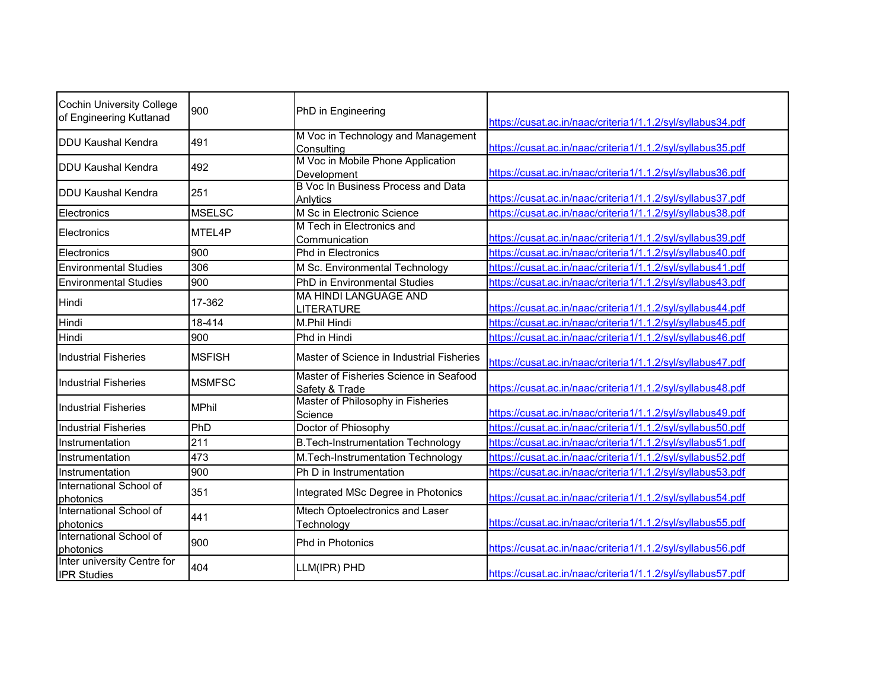| Cochin University College<br>of Engineering Kuttanad                | 900           | PhD in Engineering                                       | https://cusat.ac.in/naac/criteria1/1.1.2/syl/syllabus34.pdf |
|---------------------------------------------------------------------|---------------|----------------------------------------------------------|-------------------------------------------------------------|
| <b>DDU Kaushal Kendra</b>                                           | 491           | M Voc in Technology and Management<br>Consulting         | https://cusat.ac.in/naac/criteria1/1.1.2/syl/syllabus35.pdf |
| <b>IDDU Kaushal Kendra</b>                                          | 492           | M Voc in Mobile Phone Application<br>Development         | https://cusat.ac.in/naac/criteria1/1.1.2/syl/syllabus36.pdf |
| <b>IDDU Kaushal Kendra</b>                                          | 251           | B Voc In Business Process and Data<br>Anlytics           | https://cusat.ac.in/naac/criteria1/1.1.2/syl/syllabus37.pdf |
| Electronics                                                         | <b>MSELSC</b> | M Sc in Electronic Science                               | https://cusat.ac.in/naac/criteria1/1.1.2/syl/syllabus38.pdf |
| Electronics                                                         | MTEL4P        | M Tech in Electronics and<br>Communication               | https://cusat.ac.in/naac/criteria1/1.1.2/syl/syllabus39.pdf |
| Electronics                                                         | 900           | Phd in Electronics                                       | https://cusat.ac.in/naac/criteria1/1.1.2/syl/syllabus40.pdf |
| <b>Environmental Studies</b>                                        | 306           | M Sc. Environmental Technology                           | https://cusat.ac.in/naac/criteria1/1.1.2/syl/syllabus41.pdf |
| <b>Environmental Studies</b>                                        | 900           | PhD in Environmental Studies                             | https://cusat.ac.in/naac/criteria1/1.1.2/syl/syllabus43.pdf |
| Hindi                                                               | 17-362        | <b>MA HINDI LANGUAGE AND</b><br>LITERATURE               | https://cusat.ac.in/naac/criteria1/1.1.2/syl/syllabus44.pdf |
| Hindi                                                               | 18-414        | M.Phil Hindi                                             | https://cusat.ac.in/naac/criteria1/1.1.2/syl/syllabus45.pdf |
| Hindi                                                               | 900           | Phd in Hindi                                             | https://cusat.ac.in/naac/criteria1/1.1.2/syl/syllabus46.pdf |
| <b>Industrial Fisheries</b>                                         | <b>MSFISH</b> | Master of Science in Industrial Fisheries                | https://cusat.ac.in/naac/criteria1/1.1.2/syl/syllabus47.pdf |
| <b>Industrial Fisheries</b>                                         | <b>MSMFSC</b> | Master of Fisheries Science in Seafood<br>Safety & Trade | https://cusat.ac.in/naac/criteria1/1.1.2/syl/syllabus48.pdf |
| <b>Industrial Fisheries</b>                                         | <b>MPhil</b>  | Master of Philosophy in Fisheries<br>Science             | https://cusat.ac.in/naac/criteria1/1.1.2/syl/syllabus49.pdf |
| <b>Industrial Fisheries</b>                                         | PhD           | Doctor of Phiosophy                                      | https://cusat.ac.in/naac/criteria1/1.1.2/syl/syllabus50.pdf |
| Instrumentation                                                     | 211           | <b>B.Tech-Instrumentation Technology</b>                 | https://cusat.ac.in/naac/criteria1/1.1.2/syl/syllabus51.pdf |
| Instrumentation                                                     | 473           | M.Tech-Instrumentation Technology                        | https://cusat.ac.in/naac/criteria1/1.1.2/syl/syllabus52.pdf |
| Instrumentation                                                     | 900           | Ph D in Instrumentation                                  | https://cusat.ac.in/naac/criteria1/1.1.2/syl/syllabus53.pdf |
| International School of<br>photonics                                | 351           | Integrated MSc Degree in Photonics                       | https://cusat.ac.in/naac/criteria1/1.1.2/syl/syllabus54.pdf |
| International School of<br>photonics                                | 441           | Mtech Optoelectronics and Laser<br>Technology            | https://cusat.ac.in/naac/criteria1/1.1.2/syl/syllabus55.pdf |
| International School of<br>photonics<br>Inter university Centre for | 900           | Phd in Photonics                                         | https://cusat.ac.in/naac/criteria1/1.1.2/syl/syllabus56.pdf |
| <b>IPR Studies</b>                                                  | 404           | LLM(IPR) PHD                                             | https://cusat.ac.in/naac/criteria1/1.1.2/syl/syllabus57.pdf |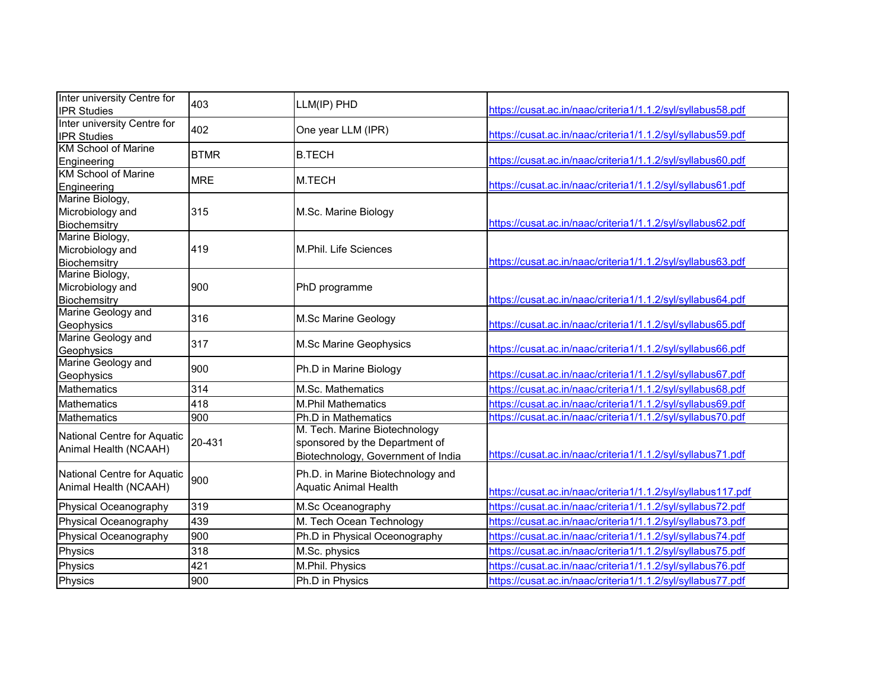| Inter university Centre for<br><b>IPR Studies</b>    | 403         | LLM(IP) PHD                                                                                           | https://cusat.ac.in/naac/criteria1/1.1.2/syl/syllabus58.pdf  |
|------------------------------------------------------|-------------|-------------------------------------------------------------------------------------------------------|--------------------------------------------------------------|
| Inter university Centre for<br><b>IPR Studies</b>    | 402         | One year LLM (IPR)                                                                                    | https://cusat.ac.in/naac/criteria1/1.1.2/syl/syllabus59.pdf  |
| <b>KM School of Marine</b><br>Engineering            | <b>BTMR</b> | <b>B.TECH</b>                                                                                         | https://cusat.ac.in/naac/criteria1/1.1.2/syl/syllabus60.pdf  |
| <b>KM School of Marine</b><br>Engineering            | <b>MRE</b>  | M.TECH                                                                                                | https://cusat.ac.in/naac/criteria1/1.1.2/syl/syllabus61.pdf  |
| Marine Biology,<br>Microbiology and<br>Biochemsitry  | 315         | M.Sc. Marine Biology                                                                                  | https://cusat.ac.in/naac/criteria1/1.1.2/syl/syllabus62.pdf  |
| Marine Biology,<br>Microbiology and<br>Biochemsitry  | 419         | M.Phil. Life Sciences                                                                                 | https://cusat.ac.in/naac/criteria1/1.1.2/syl/syllabus63.pdf  |
| Marine Biology,<br>Microbiology and<br>Biochemsitry  | 900         | PhD programme                                                                                         | https://cusat.ac.in/naac/criteria1/1.1.2/syl/syllabus64.pdf  |
| Marine Geology and<br>Geophysics                     | 316         | M.Sc Marine Geology                                                                                   | https://cusat.ac.in/naac/criteria1/1.1.2/syl/syllabus65.pdf  |
| Marine Geology and<br>Geophysics                     | 317         | M.Sc Marine Geophysics                                                                                | https://cusat.ac.in/naac/criteria1/1.1.2/syl/syllabus66.pdf  |
| Marine Geology and<br>Geophysics                     | 900         | Ph.D in Marine Biology                                                                                | https://cusat.ac.in/naac/criteria1/1.1.2/syl/syllabus67.pdf  |
| Mathematics                                          | 314         | M.Sc. Mathematics                                                                                     | https://cusat.ac.in/naac/criteria1/1.1.2/syl/syllabus68.pdf  |
| Mathematics                                          | 418         | <b>M.Phil Mathematics</b>                                                                             | https://cusat.ac.in/naac/criteria1/1.1.2/syl/syllabus69.pdf  |
| Mathematics                                          | 900         | Ph.D in Mathematics                                                                                   | https://cusat.ac.in/naac/criteria1/1.1.2/syl/syllabus70.pdf  |
| National Centre for Aquatic<br>Animal Health (NCAAH) | 20-431      | M. Tech. Marine Biotechnology<br>sponsored by the Department of<br>Biotechnology, Government of India | https://cusat.ac.in/naac/criteria1/1.1.2/syl/syllabus71.pdf  |
| National Centre for Aquatic<br>Animal Health (NCAAH) | 900         | Ph.D. in Marine Biotechnology and<br><b>Aquatic Animal Health</b>                                     | https://cusat.ac.in/naac/criteria1/1.1.2/syl/syllabus117.pdf |
| Physical Oceanography                                | 319         | M.Sc Oceanography                                                                                     | https://cusat.ac.in/naac/criteria1/1.1.2/syl/syllabus72.pdf  |
| Physical Oceanography                                | 439         | M. Tech Ocean Technology                                                                              | https://cusat.ac.in/naac/criteria1/1.1.2/syl/syllabus73.pdf  |
| Physical Oceanography                                | 900         | Ph.D in Physical Oceonography                                                                         | https://cusat.ac.in/naac/criteria1/1.1.2/syl/syllabus74.pdf  |
| Physics                                              | 318         | M.Sc. physics                                                                                         | https://cusat.ac.in/naac/criteria1/1.1.2/syl/syllabus75.pdf  |
| Physics                                              | 421         | M.Phil. Physics                                                                                       | https://cusat.ac.in/naac/criteria1/1.1.2/syl/syllabus76.pdf  |
| Physics                                              | 900         | Ph.D in Physics                                                                                       | https://cusat.ac.in/naac/criteria1/1.1.2/syl/syllabus77.pdf  |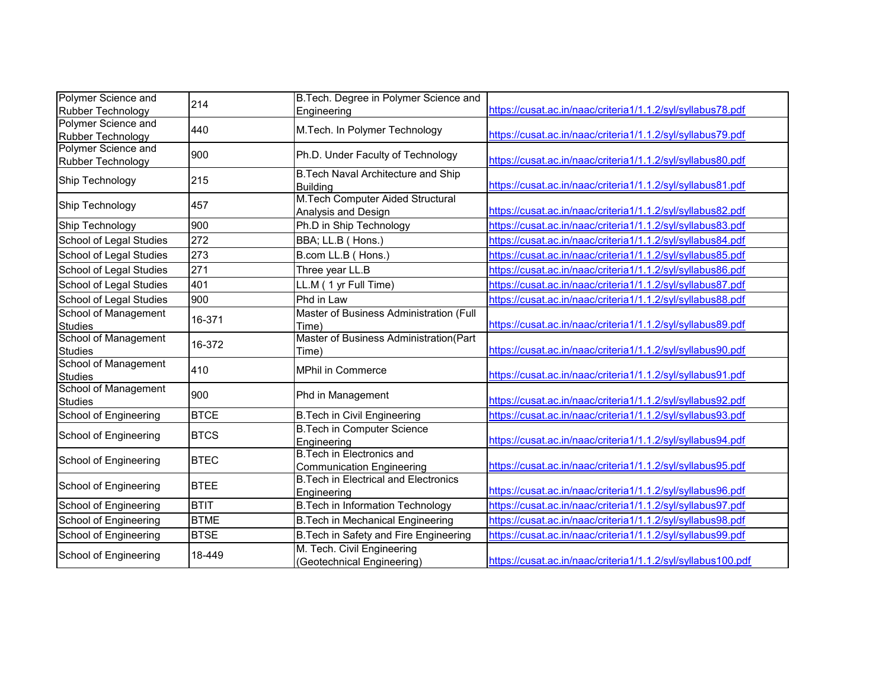| Polymer Science and                      | 214         | B. Tech. Degree in Polymer Science and                               |                                                              |
|------------------------------------------|-------------|----------------------------------------------------------------------|--------------------------------------------------------------|
| Rubber Technology                        |             | Engineering                                                          | https://cusat.ac.in/naac/criteria1/1.1.2/syl/syllabus78.pdf  |
| Polymer Science and<br>Rubber Technology | 440         | M.Tech. In Polymer Technology                                        | https://cusat.ac.in/naac/criteria1/1.1.2/syl/syllabus79.pdf  |
| Polymer Science and<br>Rubber Technology | 900         | Ph.D. Under Faculty of Technology                                    | https://cusat.ac.in/naac/criteria1/1.1.2/syl/syllabus80.pdf  |
| Ship Technology                          | 215         | B. Tech Naval Architecture and Ship<br><b>Building</b>               | https://cusat.ac.in/naac/criteria1/1.1.2/syl/syllabus81.pdf  |
| Ship Technology                          | 457         | M.Tech Computer Aided Structural<br>Analysis and Design              | https://cusat.ac.in/naac/criteria1/1.1.2/syl/syllabus82.pdf  |
| Ship Technology                          | 900         | Ph.D in Ship Technology                                              | https://cusat.ac.in/naac/criteria1/1.1.2/syl/syllabus83.pdf  |
| School of Legal Studies                  | 272         | BBA; LL.B (Hons.)                                                    | https://cusat.ac.in/naac/criteria1/1.1.2/syl/syllabus84.pdf  |
| School of Legal Studies                  | 273         | B.com LL.B (Hons.)                                                   | https://cusat.ac.in/naac/criteria1/1.1.2/syl/syllabus85.pdf  |
| School of Legal Studies                  | 271         | Three year LL.B                                                      | https://cusat.ac.in/naac/criteria1/1.1.2/syl/syllabus86.pdf  |
| School of Legal Studies                  | 401         | LL.M (1 yr Full Time)                                                | https://cusat.ac.in/naac/criteria1/1.1.2/syl/syllabus87.pdf  |
| School of Legal Studies                  | 900         | Phd in Law                                                           | https://cusat.ac.in/naac/criteria1/1.1.2/syl/syllabus88.pdf  |
| School of Management<br><b>Studies</b>   | 16-371      | Master of Business Administration (Full<br>Time)                     | https://cusat.ac.in/naac/criteria1/1.1.2/syl/syllabus89.pdf  |
| School of Management<br><b>Studies</b>   | 16-372      | Master of Business Administration(Part<br>Time)                      | https://cusat.ac.in/naac/criteria1/1.1.2/syl/syllabus90.pdf  |
| School of Management<br><b>Studies</b>   | 410         | <b>MPhil in Commerce</b>                                             | https://cusat.ac.in/naac/criteria1/1.1.2/syl/syllabus91.pdf  |
| School of Management<br><b>Studies</b>   | 900         | Phd in Management                                                    | https://cusat.ac.in/naac/criteria1/1.1.2/syl/syllabus92.pdf  |
| School of Engineering                    | <b>BTCE</b> | <b>B.Tech in Civil Engineering</b>                                   | https://cusat.ac.in/naac/criteria1/1.1.2/syl/syllabus93.pdf  |
| School of Engineering                    | <b>BTCS</b> | <b>B.Tech in Computer Science</b><br>Engineering                     | https://cusat.ac.in/naac/criteria1/1.1.2/syl/syllabus94.pdf  |
| School of Engineering                    | <b>BTEC</b> | <b>B.Tech in Electronics and</b><br><b>Communication Engineering</b> | https://cusat.ac.in/naac/criteria1/1.1.2/syl/syllabus95.pdf  |
| School of Engineering                    | <b>BTEE</b> | <b>B. Tech in Electrical and Electronics</b><br>Engineering          | https://cusat.ac.in/naac/criteria1/1.1.2/syl/syllabus96.pdf  |
| School of Engineering                    | <b>BTIT</b> | B. Tech in Information Technology                                    | https://cusat.ac.in/naac/criteria1/1.1.2/syl/syllabus97.pdf  |
| School of Engineering                    | <b>BTME</b> | <b>B.Tech in Mechanical Engineering</b>                              | https://cusat.ac.in/naac/criteria1/1.1.2/syl/syllabus98.pdf  |
| School of Engineering                    | <b>BTSE</b> | B. Tech in Safety and Fire Engineering                               | https://cusat.ac.in/naac/criteria1/1.1.2/syl/syllabus99.pdf  |
| School of Engineering                    | 18-449      | M. Tech. Civil Engineering<br>(Geotechnical Engineering)             | https://cusat.ac.in/naac/criteria1/1.1.2/syl/syllabus100.pdf |